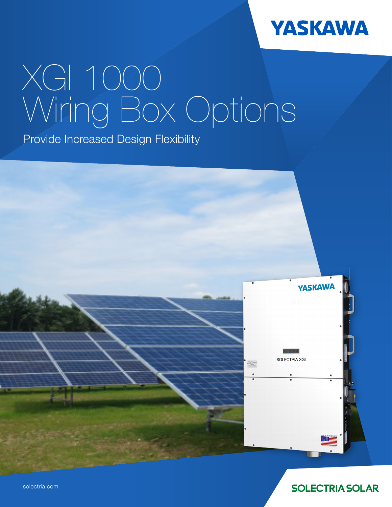

# XGI 1000 Wiring Box Options

Provide Increased Design Flexibility



**SOLECTRIA SOLAR**